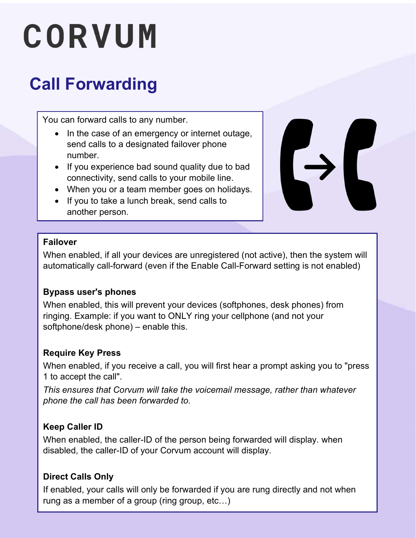# CORVUM

### Call Forwarding

You can forward calls to any number.

- In the case of an emergency or internet outage, send calls to a designated failover phone number.
- If you experience bad sound quality due to bad connectivity, send calls to your mobile line.
- When you or a team member goes on holidays.
- If you to take a lunch break, send calls to another person.



#### Failover

When enabled, if all your devices are unregistered (not active), then the system will automatically call-forward (even if the Enable Call-Forward setting is not enabled)

#### Bypass user's phones

When enabled, this will prevent your devices (softphones, desk phones) from ringing. Example: if you want to ONLY ring your cellphone (and not your softphone/desk phone) – enable this.

#### Require Key Press

When enabled, if you receive a call, you will first hear a prompt asking you to "press 1 to accept the call".

This ensures that Corvum will take the voicemail message, rather than whatever phone the call has been forwarded to.

#### Keep Caller ID

When enabled, the caller-ID of the person being forwarded will display. when disabled, the caller-ID of your Corvum account will display.

#### Direct Calls Only

If enabled, your calls will only be forwarded if you are rung directly and not when rung as a member of a group (ring group, etc…)